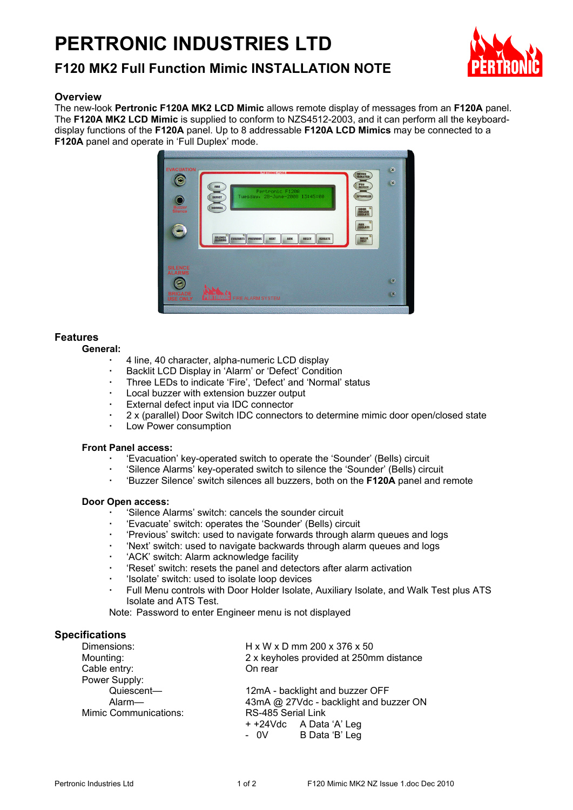# **PERTRONIC INDUSTRIES LTD**



### **Overview**

The new-look **Pertronic F120A MK2 LCD Mimic** allows remote display of messages from an **F120A** panel. The **F120A MK2 LCD Mimic** is supplied to conform to NZS4512-2003, and it can perform all the keyboarddisplay functions of the **F120A** panel. Up to 8 addressable **F120A LCD Mimics** may be connected to a **F120A** panel and operate in 'Full Duplex' mode.



# **Features**

#### **General:**

- 4 line, 40 character, alpha-numeric LCD display
- Backlit LCD Display in 'Alarm' or 'Defect' Condition
- Three LEDs to indicate 'Fire', 'Defect' and 'Normal' status
- Local buzzer with extension buzzer output
- External defect input via IDC connector
- 2 x (parallel) Door Switch IDC connectors to determine mimic door open/closed state
- Low Power consumption

#### **Front Panel access:**

- 'Evacuation' key-operated switch to operate the 'Sounder' (Bells) circuit
- 'Silence Alarms' key-operated switch to silence the 'Sounder' (Bells) circuit
- 'Buzzer Silence' switch silences all buzzers, both on the **F120A** panel and remote

#### **Door Open access:**

- 'Silence Alarms' switch: cancels the sounder circuit
- 'Evacuate' switch: operates the 'Sounder' (Bells) circuit
- 'Previous' switch: used to navigate forwards through alarm queues and logs
- 'Next' switch: used to navigate backwards through alarm queues and logs
- 'ACK' switch: Alarm acknowledge facility
- 'Reset' switch: resets the panel and detectors after alarm activation
- 'Isolate' switch: used to isolate loop devices
- Full Menu controls with Door Holder Isolate, Auxiliary Isolate, and Walk Test plus ATS Isolate and ATS Test.

Note: Password to enter Engineer menu is not displayed

# **Specifications**

| Dimensions:           | H x W x D mm 200 x 376 x 50             |  |  |
|-----------------------|-----------------------------------------|--|--|
| Mounting:             | 2 x keyholes provided at 250mm distance |  |  |
| Cable entry:          | On rear                                 |  |  |
| Power Supply:         |                                         |  |  |
| Quiescent-            | 12mA - backlight and buzzer OFF         |  |  |
| Alarm-                | 43mA @ 27Vdc - backlight and buzzer ON  |  |  |
| Mimic Communications: | RS-485 Serial Link                      |  |  |
|                       | + +24Vdc A Data 'A' Leg                 |  |  |
|                       | - 0V B Data 'B' Leg                     |  |  |